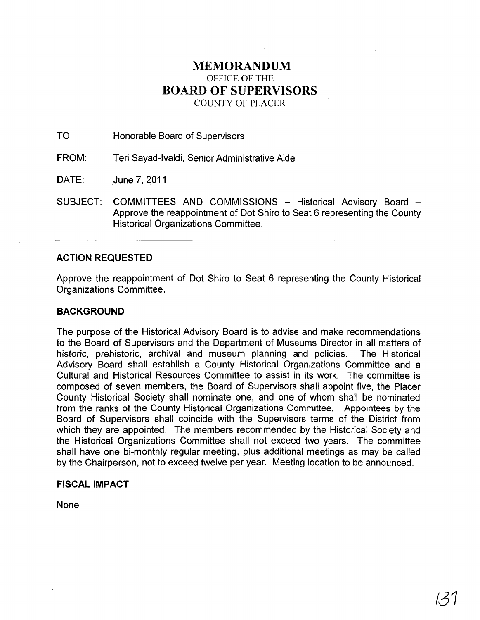# MEMORANDUM OFFICE OF THE BOARD OF SUPERVISORS COUNTY OF PLACER

TO: Honorable Board of Supervisors

FROM: Teri Sayad-Ivaldi, Senior Administrative Aide

DATE: June 7,2011

SUBJECT: COMMITTEES AND COMMISSIONS - Historical Advisory Board -Approve the reappointment of Dot Shiro to Seat 6 representing the County Historical Organizations Committee.

## ACTION REQUESTED

Approve the reappointment of Dot Shiro to Seat 6 representing the County Historical Organizations Committee.

## **BACKGROUND**

The purpose of the Historical Advisory Board is to advise and make recommendations to the Board of Supervisors and the Department of Museums Director in all matters of historic, prehistoric, archival and museum planning and policies. The Historical Advisory Board shall establish a County Historical Organizations Committee and a Cultural and Historical Resources Committee to assist in its work. The committee is composed of seven members, the Board of Supervisors shall appoint five, the Placer County Historical Society shall nominate one, and one of whom shall be nominated from the ranks of the County Historical Organizations Committee. Appointees by the Board of Supervisors shall coincide with the Supervisors terms of the District from which they are appointed. The members recommended by the Historical Society and the Historical Organizations Committee shall not exceed two years. The committee shall have one bi-monthly regular meeting, plus additional meetings as may be called by the Chairperson, not to exceed twelve per year. Meeting location to be announced.

### FISCAL IMPACT

None